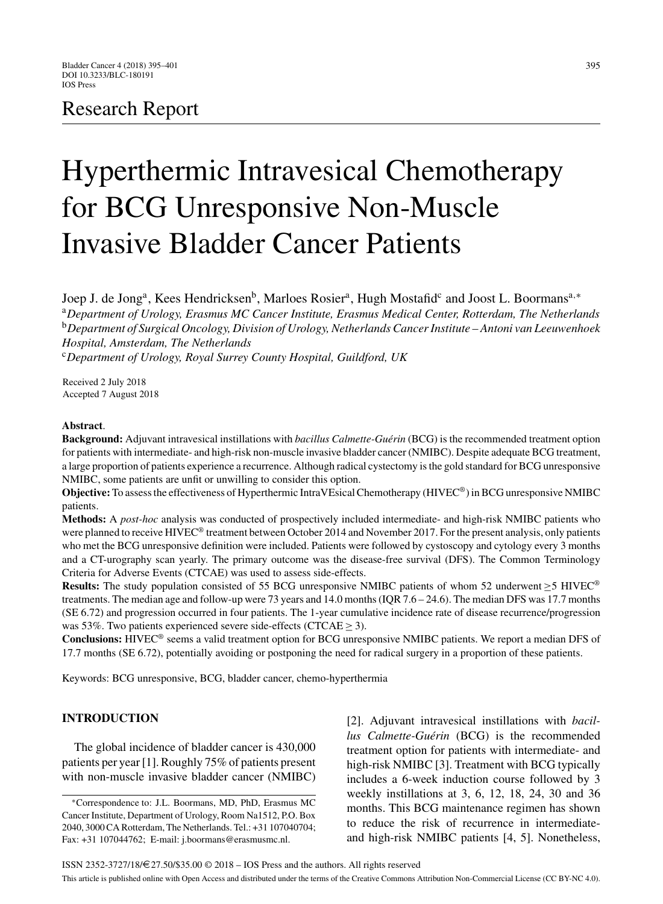# Research Report

# Hyperthermic Intravesical Chemotherapy for BCG Unresponsive Non-Muscle Invasive Bladder Cancer Patients

Joep J. de Jong<sup>a</sup>, Kees Hendricksen<sup>b</sup>, Marloes Rosier<sup>a</sup>, Hugh Mostafid<sup>c</sup> and Joost L. Boormans<sup>a,∗</sup> <sup>a</sup>*Department of Urology, Erasmus MC Cancer Institute, Erasmus Medical Center, Rotterdam, The Netherlands* <sup>b</sup>*Department of Surgical Oncology, Division of Urology, Netherlands Cancer Institute – Antoni van Leeuwenhoek Hospital, Amsterdam, The Netherlands* <sup>c</sup>*Department of Urology, Royal Surrey County Hospital, Guildford, UK*

Received 2 July 2018 Accepted 7 August 2018

#### **Abstract**.

**Background:** Adjuvant intravesical instillations with *bacillus Calmette-Guérin* (BCG) is the recommended treatment option for patients with intermediate- and high-risk non-muscle invasive bladder cancer (NMIBC). Despite adequate BCG treatment, a large proportion of patients experience a recurrence. Although radical cystectomy is the gold standard for BCG unresponsive NMIBC, some patients are unfit or unwilling to consider this option.

**Objective:** To assess the effectiveness of Hyperthermic IntraVEsical Chemotherapy (HIVEC®) in BCG unresponsive NMIBC patients.

**Methods:** A *post-hoc* analysis was conducted of prospectively included intermediate- and high-risk NMIBC patients who were planned to receive HIVEC<sup>®</sup> treatment between October 2014 and November 2017. For the present analysis, only patients who met the BCG unresponsive definition were included. Patients were followed by cystoscopy and cytology every 3 months and a CT-urography scan yearly. The primary outcome was the disease-free survival (DFS). The Common Terminology Criteria for Adverse Events (CTCAE) was used to assess side-effects.

**Results:** The study population consisted of 55 BCG unresponsive NMIBC patients of whom 52 underwent ≥5 HIVEC® treatments. The median age and follow-up were 73 years and 14.0 months (IQR 7.6 – 24.6). The median DFS was 17.7 months (SE 6.72) and progression occurred in four patients. The 1-year cumulative incidence rate of disease recurrence/progression was 53%. Two patients experienced severe side-effects (CTCAE  $\geq$  3).

**Conclusions:** HIVEC® seems a valid treatment option for BCG unresponsive NMIBC patients. We report a median DFS of 17.7 months (SE 6.72), potentially avoiding or postponing the need for radical surgery in a proportion of these patients.

Keywords: BCG unresponsive, BCG, bladder cancer, chemo-hyperthermia

## **INTRODUCTION**

The global incidence of bladder cancer is 430,000 patients per year [1]. Roughly 75% of patients present with non-muscle invasive bladder cancer (NMIBC)

[2]. Adjuvant intravesical instillations with *bacil*lus Calmette-Guérin (BCG) is the recommended treatment option for patients with intermediate- and high-risk NMIBC [3]. Treatment with BCG typically includes a 6-week induction course followed by 3 weekly instillations at 3, 6, 12, 18, 24, 30 and 36 months. This BCG maintenance regimen has shown to reduce the risk of recurrence in intermediateand high-risk NMIBC patients [4, 5]. Nonetheless,

<sup>∗</sup>Correspondence to: J.L. Boormans, MD, PhD, Erasmus MC Cancer Institute, Department of Urology, Room Na1512, P.O. Box 2040, 3000 CA Rotterdam, The Netherlands. Tel.: +31 107040704; Fax: +31 107044762; E-mail: [j.boormans@erasmusmc.nl](mailto:j.boormans@erasmusmc.nl).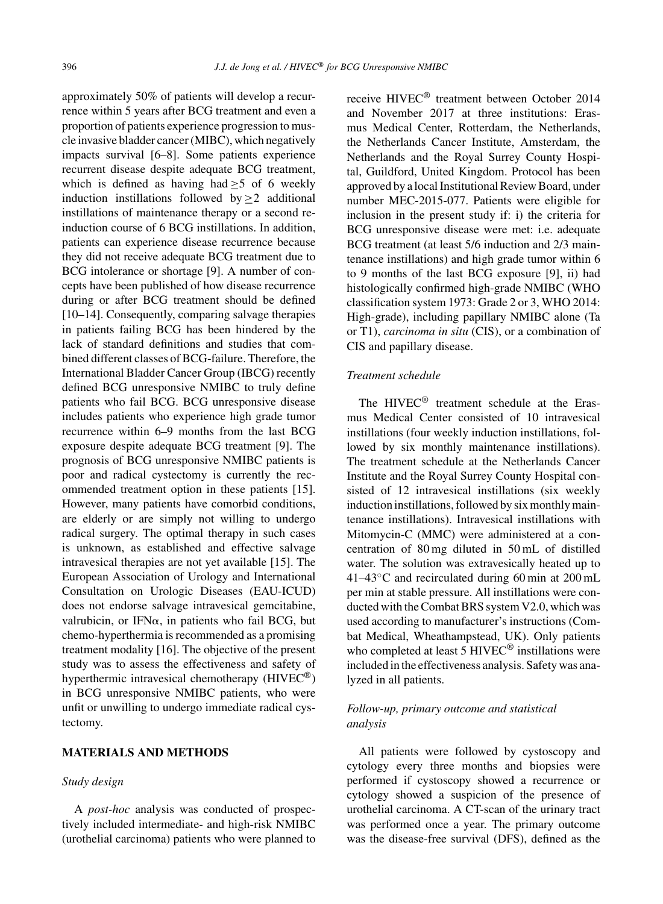approximately 50% of patients will develop a recurrence within 5 years after BCG treatment and even a proportion of patients experience progression to muscle invasive bladder cancer (MIBC), which negatively impacts survival [6–8]. Some patients experience recurrent disease despite adequate BCG treatment, which is defined as having had  $\geq$ 5 of 6 weekly induction instillations followed by  $>2$  additional instillations of maintenance therapy or a second reinduction course of 6 BCG instillations. In addition, patients can experience disease recurrence because they did not receive adequate BCG treatment due to BCG intolerance or shortage [9]. A number of concepts have been published of how disease recurrence during or after BCG treatment should be defined [10–14]. Consequently, comparing salvage therapies in patients failing BCG has been hindered by the lack of standard definitions and studies that combined different classes of BCG-failure. Therefore, the International Bladder Cancer Group (IBCG) recently defined BCG unresponsive NMIBC to truly define patients who fail BCG. BCG unresponsive disease includes patients who experience high grade tumor recurrence within 6–9 months from the last BCG exposure despite adequate BCG treatment [9]. The prognosis of BCG unresponsive NMIBC patients is poor and radical cystectomy is currently the recommended treatment option in these patients [15]. However, many patients have comorbid conditions, are elderly or are simply not willing to undergo radical surgery. The optimal therapy in such cases is unknown, as established and effective salvage intravesical therapies are not yet available [15]. The European Association of Urology and International Consultation on Urologic Diseases (EAU-ICUD) does not endorse salvage intravesical gemcitabine, valrubicin, or IFN $\alpha$ , in patients who fail BCG, but chemo-hyperthermia is recommended as a promising treatment modality [16]. The objective of the present study was to assess the effectiveness and safety of hyperthermic intravesical chemotherapy (HIVEC®) in BCG unresponsive NMIBC patients, who were unfit or unwilling to undergo immediate radical cystectomy.

### **MATERIALS AND METHODS**

#### *Study design*

A *post-hoc* analysis was conducted of prospectively included intermediate- and high-risk NMIBC (urothelial carcinoma) patients who were planned to receive HIVEC® treatment between October 2014 and November 2017 at three institutions: Erasmus Medical Center, Rotterdam, the Netherlands, the Netherlands Cancer Institute, Amsterdam, the Netherlands and the Royal Surrey County Hospital, Guildford, United Kingdom. Protocol has been approved by a local Institutional Review Board, under number MEC-2015-077. Patients were eligible for inclusion in the present study if: i) the criteria for BCG unresponsive disease were met: i.e. adequate BCG treatment (at least 5/6 induction and 2/3 maintenance instillations) and high grade tumor within 6 to 9 months of the last BCG exposure [9], ii) had histologically confirmed high-grade NMIBC (WHO classification system 1973: Grade 2 or 3, WHO 2014: High-grade), including papillary NMIBC alone (Ta or T1), *carcinoma in situ* (CIS), or a combination of CIS and papillary disease.

#### *Treatment schedule*

The HIVEC<sup>®</sup> treatment schedule at the Erasmus Medical Center consisted of 10 intravesical instillations (four weekly induction instillations, followed by six monthly maintenance instillations). The treatment schedule at the Netherlands Cancer Institute and the Royal Surrey County Hospital consisted of 12 intravesical instillations (six weekly induction instillations, followed by six monthly maintenance instillations). Intravesical instillations with Mitomycin-C (MMC) were administered at a concentration of 80 mg diluted in 50 mL of distilled water. The solution was extravesically heated up to 41–43◦C and recirculated during 60 min at 200 mL per min at stable pressure. All instillations were conducted with the Combat BRS system V2.0, which was used according to manufacturer's instructions (Combat Medical, Wheathampstead, UK). Only patients who completed at least 5 HIVEC<sup>®</sup> instillations were included in the effectiveness analysis. Safety was analyzed in all patients.

#### *Follow-up, primary outcome and statistical analysis*

All patients were followed by cystoscopy and cytology every three months and biopsies were performed if cystoscopy showed a recurrence or cytology showed a suspicion of the presence of urothelial carcinoma. A CT-scan of the urinary tract was performed once a year. The primary outcome was the disease-free survival (DFS), defined as the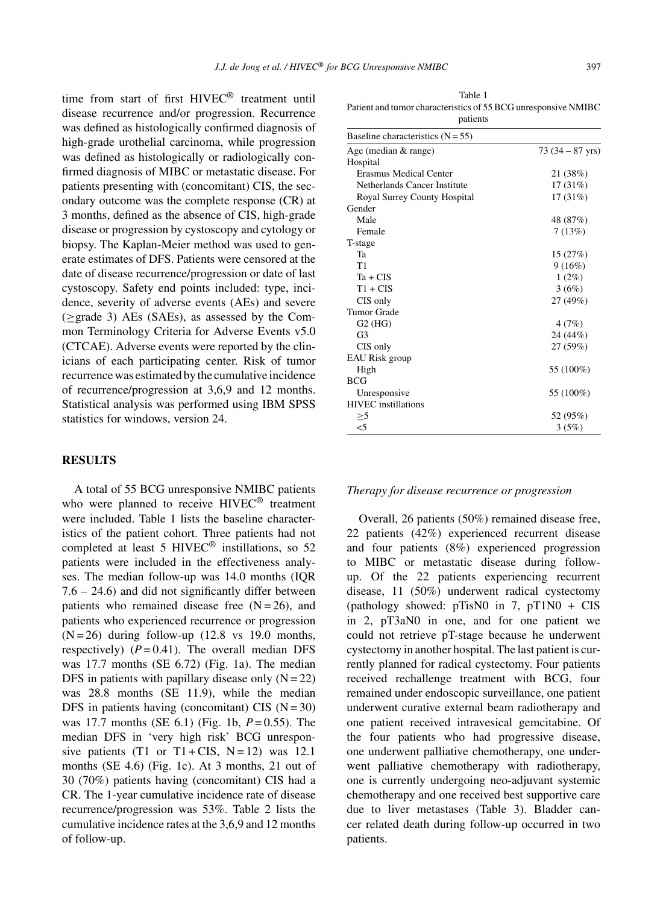time from start of first HIVEC® treatment until disease recurrence and/or progression. Recurrence was defined as histologically confirmed diagnosis of high-grade urothelial carcinoma, while progression was defined as histologically or radiologically confirmed diagnosis of MIBC or metastatic disease. For patients presenting with (concomitant) CIS, the secondary outcome was the complete response (CR) at 3 months, defined as the absence of CIS, high-grade disease or progression by cystoscopy and cytology or biopsy. The Kaplan-Meier method was used to generate estimates of DFS. Patients were censored at the date of disease recurrence/progression or date of last cystoscopy. Safety end points included: type, incidence, severity of adverse events (AEs) and severe (≥grade 3) AEs (SAEs), as assessed by the Common Terminology Criteria for Adverse Events v5.0 (CTCAE). Adverse events were reported by the clinicians of each participating center. Risk of tumor recurrence was estimated by the cumulative incidence of recurrence/progression at 3,6,9 and 12 months. Statistical analysis was performed using IBM SPSS statistics for windows, version 24.

#### **RESULTS**

A total of 55 BCG unresponsive NMIBC patients who were planned to receive HIVEC<sup>®</sup> treatment were included. Table 1 lists the baseline characteristics of the patient cohort. Three patients had not completed at least 5 HIVEC® instillations, so 52 patients were included in the effectiveness analyses. The median follow-up was 14.0 months (IQR 7.6 – 24.6) and did not significantly differ between patients who remained disease free  $(N = 26)$ , and patients who experienced recurrence or progression  $(N = 26)$  during follow-up (12.8 vs 19.0 months, respectively)  $(P = 0.41)$ . The overall median DFS was 17.7 months (SE 6.72) (Fig. 1a). The median DFS in patients with papillary disease only  $(N = 22)$ was 28.8 months (SE 11.9), while the median DFS in patients having (concomitant) CIS  $(N = 30)$ was 17.7 months (SE 6.1) (Fig. 1b, *P* = 0.55). The median DFS in 'very high risk' BCG unresponsive patients (T1 or T1 + CIS,  $N = 12$ ) was 12.1 months (SE 4.6) (Fig. 1c). At 3 months, 21 out of 30 (70%) patients having (concomitant) CIS had a CR. The 1-year cumulative incidence rate of disease recurrence/progression was 53%. Table 2 lists the cumulative incidence rates at the 3,6,9 and 12 months of follow-up.

Table 1 Patient and tumor characteristics of 55 BCG unresponsive NMIBC patients

| Baseline characteristics $(N = 55)$ |                           |
|-------------------------------------|---------------------------|
| Age (median $&$ range)              | $73(34 - 87 \text{ yrs})$ |
| Hospital                            |                           |
| Erasmus Medical Center              | 21 (38%)                  |
| Netherlands Cancer Institute        | 17(31%)                   |
| Royal Surrey County Hospital        | 17 (31%)                  |
| Gender                              |                           |
| Male                                | 48 (87%)                  |
| Female                              | 7(13%)                    |
| T-stage                             |                           |
| Ta                                  | 15 (27%)                  |
| T1                                  | 9(16%)                    |
| $Ta + CIS$                          | $1(2\%)$                  |
| $T1 + CIS$                          | 3(6%)                     |
| CIS only                            | 27(49%)                   |
| <b>Tumor Grade</b>                  |                           |
| $G2$ (HG)                           | 4(7%)                     |
| G <sub>3</sub>                      | 24 (44%)                  |
| CIS only                            | 27 (59%)                  |
| <b>EAU Risk group</b>               |                           |
| High                                | 55 (100%)                 |
| <b>BCG</b>                          |                           |
| Unresponsive                        | 55 (100%)                 |
| <b>HIVEC</b> instillations          |                           |
| $>$ 5                               | 52 (95%)                  |
| $<$ 5                               | 3(5%)                     |

#### *Therapy for disease recurrence or progression*

Overall, 26 patients (50%) remained disease free, 22 patients (42%) experienced recurrent disease and four patients (8%) experienced progression to MIBC or metastatic disease during followup. Of the 22 patients experiencing recurrent disease, 11 (50%) underwent radical cystectomy (pathology showed:  $pTiSNO$  in 7,  $pT1NO + CIS$ in 2, pT3aN0 in one, and for one patient we could not retrieve pT-stage because he underwent cystectomy in another hospital. The last patient is currently planned for radical cystectomy. Four patients received rechallenge treatment with BCG, four remained under endoscopic surveillance, one patient underwent curative external beam radiotherapy and one patient received intravesical gemcitabine. Of the four patients who had progressive disease, one underwent palliative chemotherapy, one underwent palliative chemotherapy with radiotherapy, one is currently undergoing neo-adjuvant systemic chemotherapy and one received best supportive care due to liver metastases (Table 3). Bladder cancer related death during follow-up occurred in two patients.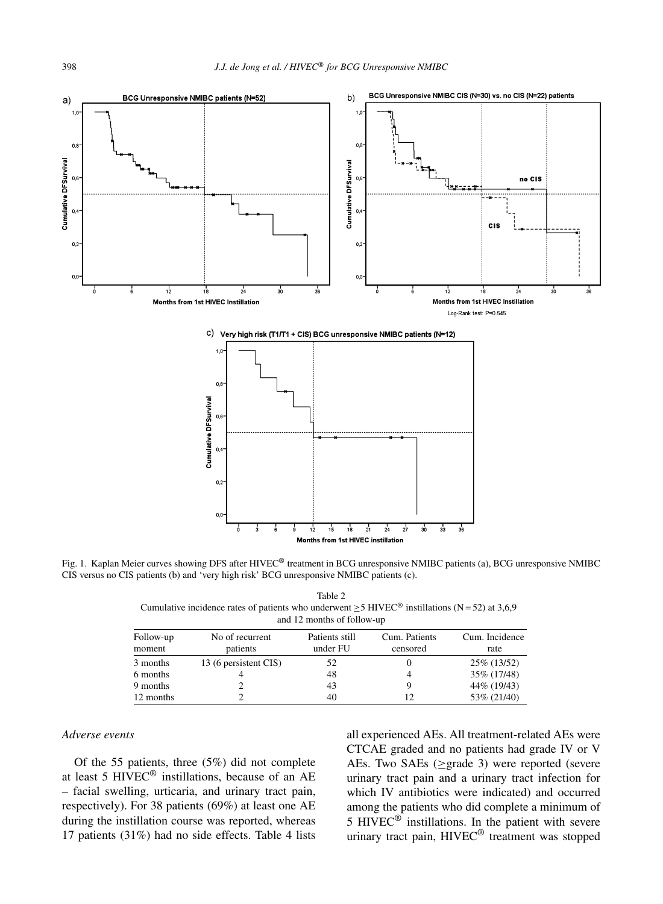

Fig. 1. Kaplan Meier curves showing DFS after HIVEC® treatment in BCG unresponsive NMIBC patients (a), BCG unresponsive NMIBC CIS versus no CIS patients (b) and 'very high risk' BCG unresponsive NMIBC patients (c).

Table 2 Cumulative incidence rates of patients who underwent  $\geq$  5 HIVEC<sup>®</sup> instillations (N = 52) at 3,6,9 and 12 months of follow-up

| Follow-up<br>moment | No of recurrent<br>patients | Patients still<br>under FU | Cum. Patients<br>censored | Cum. Incidence<br>rate |
|---------------------|-----------------------------|----------------------------|---------------------------|------------------------|
| 3 months            | 13 (6 persistent CIS)       | 52                         |                           | 25\% (13/52)           |
| 6 months            |                             | 48                         |                           | 35\% (17/48)           |
| 9 months            |                             | 43                         |                           | 44\% (19/43)           |
| 12 months           |                             | 40                         |                           | 53\% (21/40)           |

#### *Adverse events*

Of the 55 patients, three (5%) did not complete at least 5 HIVEC® instillations, because of an AE – facial swelling, urticaria, and urinary tract pain, respectively). For 38 patients (69%) at least one AE during the instillation course was reported, whereas 17 patients (31%) had no side effects. Table 4 lists

all experienced AEs. All treatment-related AEs were CTCAE graded and no patients had grade IV or V AEs. Two SAEs ( $\geq$ grade 3) were reported (severe urinary tract pain and a urinary tract infection for which IV antibiotics were indicated) and occurred among the patients who did complete a minimum of 5 HIVEC<sup>®</sup> instillations. In the patient with severe urinary tract pain, HIVEC® treatment was stopped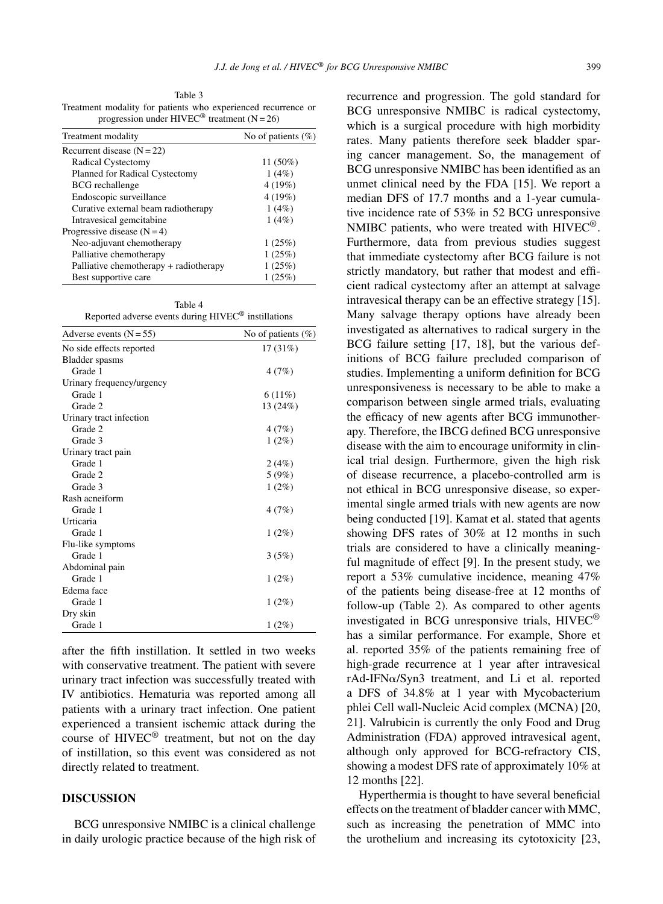Table 3 Treatment modality for patients who experienced recurrence or progression under HIVEC<sup>®</sup> treatment (N = 26)

| Treatment modality                     | No of patients $(\% )$ |
|----------------------------------------|------------------------|
| Recurrent disease $(N = 22)$           |                        |
| Radical Cystectomy                     | 11 (50%)               |
| Planned for Radical Cystectomy         | 1(4%)                  |
| <b>BCG</b> rechallenge                 | 4(19%)                 |
| Endoscopic surveillance                | 4 (19%)                |
| Curative external beam radiotherapy    | 1(4%)                  |
| Intravesical gemeitabine               | 1(4%)                  |
| Progressive disease $(N=4)$            |                        |
| Neo-adjuvant chemotherapy              | 1(25%)                 |
| Palliative chemotherapy                | 1(25%)                 |
| Palliative chemotherapy + radiotherapy | 1(25%)                 |
| Best supportive care                   | 1(25%)                 |

Table 4 Reported adverse events during HIVEC® instillations

| Reported adverse events during TH v LC Thisthianous |                        |
|-----------------------------------------------------|------------------------|
| Adverse events $(N = 55)$                           | No of patients $(\% )$ |
| No side effects reported                            | 17(31%)                |
| Bladder spasms                                      |                        |
| Grade 1                                             | 4(7%)                  |
| Urinary frequency/urgency                           |                        |
| Grade 1                                             | $6(11\%)$              |
| Grade 2                                             | 13 (24%)               |
| Urinary tract infection                             |                        |
| Grade 2                                             | 4(7%)                  |
| Grade 3                                             | $1(2\%)$               |
| Urinary tract pain                                  |                        |
| Grade 1                                             | 2(4%)                  |
| Grade 2                                             | 5(9%)                  |
| Grade 3                                             | $1(2\%)$               |
| Rash acneiform                                      |                        |
| Grade 1                                             | 4(7%)                  |
| Urticaria                                           |                        |
| Grade 1                                             | $1(2\%)$               |
| Flu-like symptoms                                   |                        |
| Grade 1                                             | 3(5%)                  |
| Abdominal pain                                      |                        |
| Grade 1                                             | $1(2\%)$               |
| Edema face                                          |                        |
| Grade 1                                             | $1(2\%)$               |
| Dry skin                                            |                        |
| Grade 1                                             | $1(2\%)$               |

after the fifth instillation. It settled in two weeks with conservative treatment. The patient with severe urinary tract infection was successfully treated with IV antibiotics. Hematuria was reported among all patients with a urinary tract infection. One patient experienced a transient ischemic attack during the course of HIVEC® treatment, but not on the day of instillation, so this event was considered as not directly related to treatment.

#### **DISCUSSION**

BCG unresponsive NMIBC is a clinical challenge in daily urologic practice because of the high risk of recurrence and progression. The gold standard for BCG unresponsive NMIBC is radical cystectomy, which is a surgical procedure with high morbidity rates. Many patients therefore seek bladder sparing cancer management. So, the management of BCG unresponsive NMIBC has been identified as an unmet clinical need by the FDA [15]. We report a median DFS of 17.7 months and a 1-year cumulative incidence rate of 53% in 52 BCG unresponsive NMIBC patients, who were treated with HIVEC®. Furthermore, data from previous studies suggest that immediate cystectomy after BCG failure is not strictly mandatory, but rather that modest and efficient radical cystectomy after an attempt at salvage intravesical therapy can be an effective strategy [15]. Many salvage therapy options have already been investigated as alternatives to radical surgery in the BCG failure setting [17, 18], but the various definitions of BCG failure precluded comparison of studies. Implementing a uniform definition for BCG unresponsiveness is necessary to be able to make a comparison between single armed trials, evaluating the efficacy of new agents after BCG immunotherapy. Therefore, the IBCG defined BCG unresponsive disease with the aim to encourage uniformity in clinical trial design. Furthermore, given the high risk of disease recurrence, a placebo-controlled arm is not ethical in BCG unresponsive disease, so experimental single armed trials with new agents are now being conducted [19]. Kamat et al. stated that agents showing DFS rates of 30% at 12 months in such trials are considered to have a clinically meaningful magnitude of effect [9]. In the present study, we report a 53% cumulative incidence, meaning 47% of the patients being disease-free at 12 months of follow-up (Table 2). As compared to other agents investigated in BCG unresponsive trials, HIVEC® has a similar performance. For example, Shore et al. reported 35% of the patients remaining free of high-grade recurrence at 1 year after intravesical rAd-IFNa/Syn3 treatment, and Li et al. reported a DFS of 34.8% at 1 year with Mycobacterium phlei Cell wall-Nucleic Acid complex (MCNA) [20, 21]. Valrubicin is currently the only Food and Drug Administration (FDA) approved intravesical agent, although only approved for BCG-refractory CIS, showing a modest DFS rate of approximately 10% at 12 months [22].

Hyperthermia is thought to have several beneficial effects on the treatment of bladder cancer with MMC, such as increasing the penetration of MMC into the urothelium and increasing its cytotoxicity [23,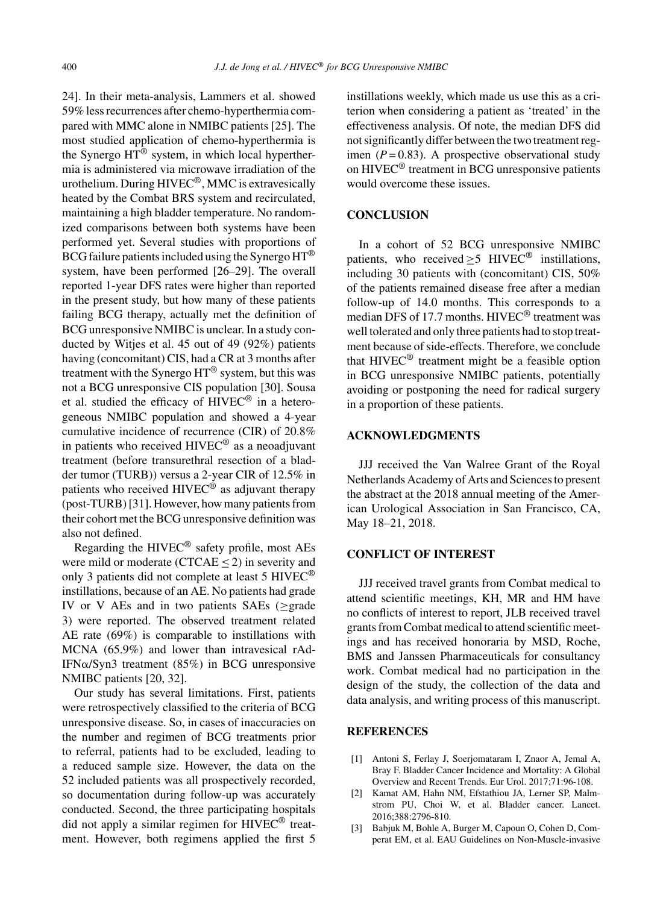24]. In their meta-analysis, Lammers et al. showed 59% less recurrences after chemo-hyperthermia compared with MMC alone in NMIBC patients [25]. The most studied application of chemo-hyperthermia is the Synergo  $HT^{\overline{\circledast}}$  system, in which local hyperthermia is administered via microwave irradiation of the urothelium. During HIVEC®, MMC is extravesically heated by the Combat BRS system and recirculated, maintaining a high bladder temperature. No randomized comparisons between both systems have been performed yet. Several studies with proportions of BCG failure patients included using the Synergo HT® system, have been performed [26–29]. The overall reported 1-year DFS rates were higher than reported in the present study, but how many of these patients failing BCG therapy, actually met the definition of BCG unresponsive NMIBC is unclear. In a study conducted by Witjes et al. 45 out of 49 (92%) patients having (concomitant) CIS, had a CR at 3 months after treatment with the Synergo HT® system, but this was not a BCG unresponsive CIS population [30]. Sousa et al. studied the efficacy of  $HIVEC^{\circledR}$  in a heterogeneous NMIBC population and showed a 4-year cumulative incidence of recurrence (CIR) of 20.8% in patients who received HIVEC® as a neoadjuvant treatment (before transurethral resection of a bladder tumor (TURB)) versus a 2-year CIR of 12.5% in patients who received  $HIVEC^{\otimes}$  as adjuvant therapy (post-TURB) [31]. However, how many patients from their cohort met the BCG unresponsive definition was also not defined.

Regarding the HIVEC® safety profile, most AEs were mild or moderate (CTCAE < 2) in severity and only 3 patients did not complete at least 5 HIVEC® instillations, because of an AE. No patients had grade IV or V AEs and in two patients SAEs (≥grade 3) were reported. The observed treatment related AE rate (69%) is comparable to instillations with MCNA (65.9%) and lower than intravesical rAd-IFN $\alpha$ /Syn3 treatment (85%) in BCG unresponsive NMIBC patients [20, 32].

Our study has several limitations. First, patients were retrospectively classified to the criteria of BCG unresponsive disease. So, in cases of inaccuracies on the number and regimen of BCG treatments prior to referral, patients had to be excluded, leading to a reduced sample size. However, the data on the 52 included patients was all prospectively recorded, so documentation during follow-up was accurately conducted. Second, the three participating hospitals did not apply a similar regimen for HIVEC® treatment. However, both regimens applied the first 5

instillations weekly, which made us use this as a criterion when considering a patient as 'treated' in the effectiveness analysis. Of note, the median DFS did not significantly differ between the two treatment regimen  $(P=0.83)$ . A prospective observational study on HIVEC® treatment in BCG unresponsive patients would overcome these issues.

#### **CONCLUSION**

In a cohort of 52 BCG unresponsive NMIBC patients, who received  $>5$  HIVEC<sup>®</sup> instillations, including 30 patients with (concomitant) CIS, 50% of the patients remained disease free after a median follow-up of 14.0 months. This corresponds to a median DFS of 17.7 months. HIVEC® treatment was well tolerated and only three patients had to stop treatment because of side-effects. Therefore, we conclude that HIVEC® treatment might be a feasible option in BCG unresponsive NMIBC patients, potentially avoiding or postponing the need for radical surgery in a proportion of these patients.

#### **ACKNOWLEDGMENTS**

JJJ received the Van Walree Grant of the Royal Netherlands Academy of Arts and Sciences to present the abstract at the 2018 annual meeting of the American Urological Association in San Francisco, CA, May 18–21, 2018.

#### **CONFLICT OF INTEREST**

JJJ received travel grants from Combat medical to attend scientific meetings, KH, MR and HM have no conflicts of interest to report, JLB received travel grants from Combat medical to attend scientific meetings and has received honoraria by MSD, Roche, BMS and Janssen Pharmaceuticals for consultancy work. Combat medical had no participation in the design of the study, the collection of the data and data analysis, and writing process of this manuscript.

#### **REFERENCES**

- [1] Antoni S, Ferlay J, Soerjomataram I, Znaor A, Jemal A, Bray F. Bladder Cancer Incidence and Mortality: A Global Overview and Recent Trends. Eur Urol. 2017;71:96-108.
- [2] Kamat AM, Hahn NM, Efstathiou JA, Lerner SP, Malmstrom PU, Choi W, et al. Bladder cancer. Lancet. 2016;388:2796-810.
- [3] Babjuk M, Bohle A, Burger M, Capoun O, Cohen D, Comperat EM, et al. EAU Guidelines on Non-Muscle-invasive